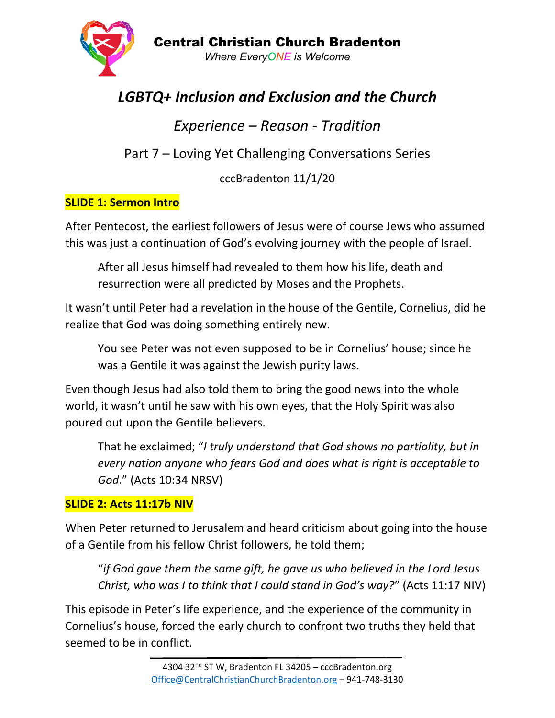

# *LGBTQ+ Inclusion and Exclusion and the Church*

*Experience – Reason - Tradition*

Part 7 – Loving Yet Challenging Conversations Series

cccBradenton 11/1/20

# **SLIDE 1: Sermon Intro**

After Pentecost, the earliest followers of Jesus were of course Jews who assumed this was just a continuation of God's evolving journey with the people of Israel.

After all Jesus himself had revealed to them how his life, death and resurrection were all predicted by Moses and the Prophets.

It wasn't until Peter had a revelation in the house of the Gentile, Cornelius, did he realize that God was doing something entirely new.

You see Peter was not even supposed to be in Cornelius' house; since he was a Gentile it was against the Jewish purity laws.

Even though Jesus had also told them to bring the good news into the whole world, it wasn't until he saw with his own eyes, that the Holy Spirit was also poured out upon the Gentile believers.

That he exclaimed; "*I truly understand that God shows no partiality, but in every nation anyone who fears God and does what is right is acceptable to God*." (Acts 10:34 NRSV)

# **SLIDE 2: Acts 11:17b NIV**

When Peter returned to Jerusalem and heard criticism about going into the house of a Gentile from his fellow Christ followers, he told them;

"*if God gave them the same gift, he gave us who believed in the Lord Jesus Christ, who was I to think that I could stand in God's way?*" (Acts 11:17 NIV)

This episode in Peter's life experience, and the experience of the community in Cornelius's house, forced the early church to confront two truths they held that seemed to be in conflict.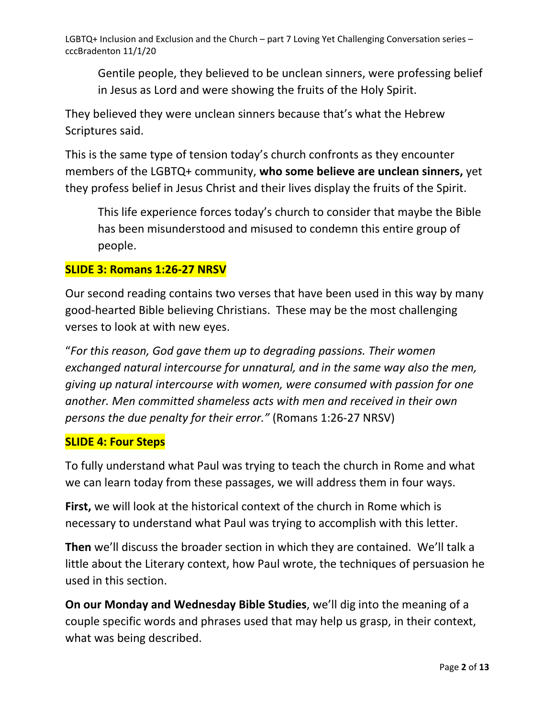Gentile people, they believed to be unclean sinners, were professing belief in Jesus as Lord and were showing the fruits of the Holy Spirit.

They believed they were unclean sinners because that's what the Hebrew Scriptures said.

This is the same type of tension today's church confronts as they encounter members of the LGBTQ+ community, **who some believe are unclean sinners,** yet they profess belief in Jesus Christ and their lives display the fruits of the Spirit.

This life experience forces today's church to consider that maybe the Bible has been misunderstood and misused to condemn this entire group of people.

#### **SLIDE 3: Romans 1:26-27 NRSV**

Our second reading contains two verses that have been used in this way by many good-hearted Bible believing Christians. These may be the most challenging verses to look at with new eyes.

"*For this reason, God gave them up to degrading passions. Their women exchanged natural intercourse for unnatural, and in the same way also the men, giving up natural intercourse with women, were consumed with passion for one another. Men committed shameless acts with men and received in their own persons the due penalty for their error."* (Romans 1:26-27 NRSV)

#### **SLIDE 4: Four Steps**

To fully understand what Paul was trying to teach the church in Rome and what we can learn today from these passages, we will address them in four ways.

**First,** we will look at the historical context of the church in Rome which is necessary to understand what Paul was trying to accomplish with this letter.

**Then** we'll discuss the broader section in which they are contained. We'll talk a little about the Literary context, how Paul wrote, the techniques of persuasion he used in this section.

**On our Monday and Wednesday Bible Studies**, we'll dig into the meaning of a couple specific words and phrases used that may help us grasp, in their context, what was being described.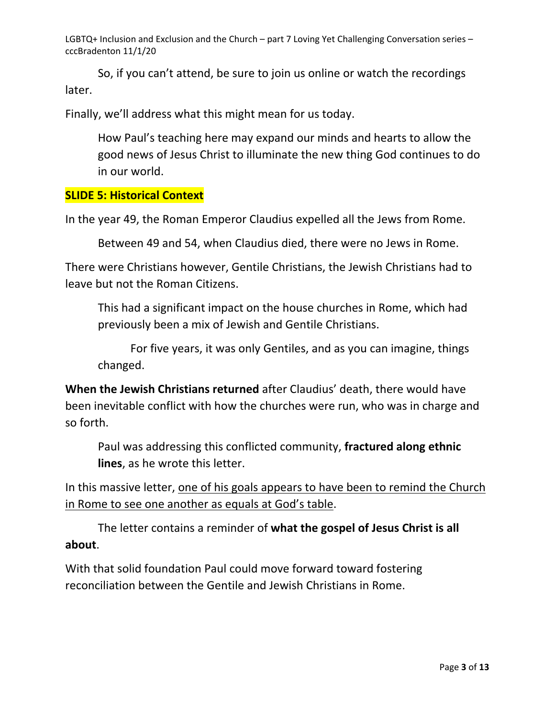So, if you can't attend, be sure to join us online or watch the recordings later.

Finally, we'll address what this might mean for us today.

How Paul's teaching here may expand our minds and hearts to allow the good news of Jesus Christ to illuminate the new thing God continues to do in our world.

### **SLIDE 5: Historical Context**

In the year 49, the Roman Emperor Claudius expelled all the Jews from Rome.

Between 49 and 54, when Claudius died, there were no Jews in Rome.

There were Christians however, Gentile Christians, the Jewish Christians had to leave but not the Roman Citizens.

This had a significant impact on the house churches in Rome, which had previously been a mix of Jewish and Gentile Christians.

For five years, it was only Gentiles, and as you can imagine, things changed.

**When the Jewish Christians returned** after Claudius' death, there would have been inevitable conflict with how the churches were run, who was in charge and so forth.

Paul was addressing this conflicted community, **fractured along ethnic lines**, as he wrote this letter.

In this massive letter, one of his goals appears to have been to remind the Church in Rome to see one another as equals at God's table.

The letter contains a reminder of **what the gospel of Jesus Christ is all about**.

With that solid foundation Paul could move forward toward fostering reconciliation between the Gentile and Jewish Christians in Rome.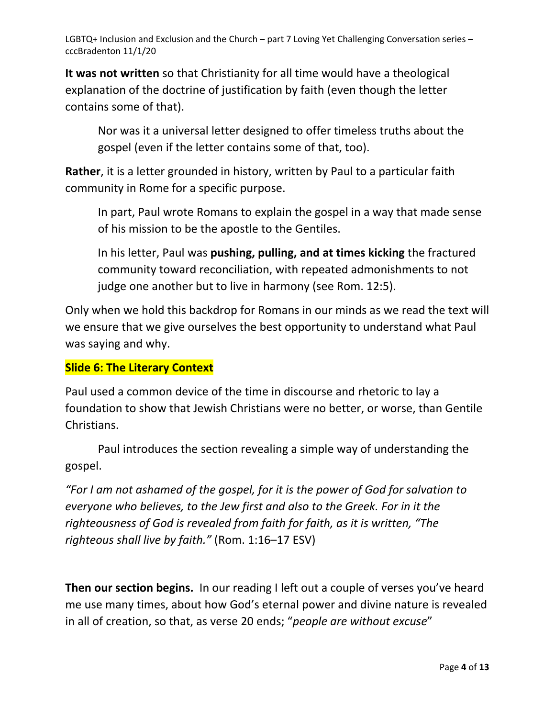**It was not written** so that Christianity for all time would have a theological explanation of the doctrine of justification by faith (even though the letter contains some of that).

Nor was it a universal letter designed to offer timeless truths about the gospel (even if the letter contains some of that, too).

**Rather**, it is a letter grounded in history, written by Paul to a particular faith community in Rome for a specific purpose.

In part, Paul wrote Romans to explain the gospel in a way that made sense of his mission to be the apostle to the Gentiles.

In his letter, Paul was **pushing, pulling, and at times kicking** the fractured community toward reconciliation, with repeated admonishments to not judge one another but to live in harmony (see Rom. 12:5).

Only when we hold this backdrop for Romans in our minds as we read the text will we ensure that we give ourselves the best opportunity to understand what Paul was saying and why.

# **Slide 6: The Literary Context**

Paul used a common device of the time in discourse and rhetoric to lay a foundation to show that Jewish Christians were no better, or worse, than Gentile Christians.

Paul introduces the section revealing a simple way of understanding the gospel.

*"For I am not ashamed of the gospel, for it is the power of God for salvation to everyone who believes, to the Jew first and also to the Greek. For in it the righteousness of God is revealed from faith for faith, as it is written, "The righteous shall live by faith."* (Rom. 1:16–17 ESV)

**Then our section begins.** In our reading I left out a couple of verses you've heard me use many times, about how God's eternal power and divine nature is revealed in all of creation, so that, as verse 20 ends; "*people are without excuse*"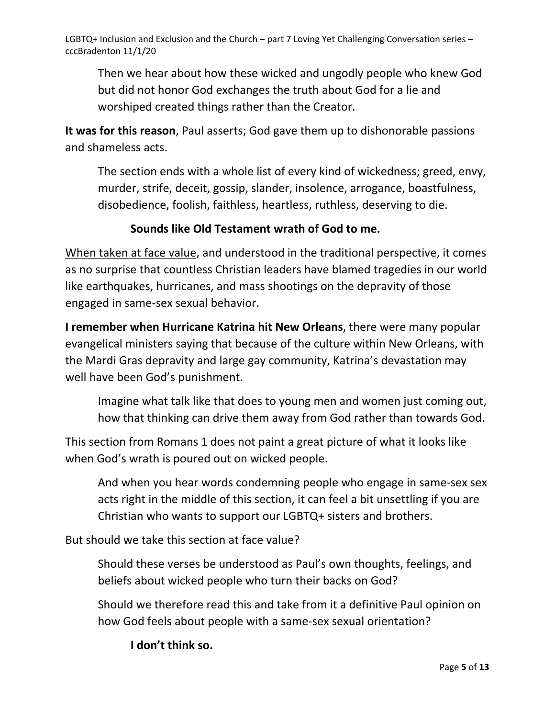Then we hear about how these wicked and ungodly people who knew God but did not honor God exchanges the truth about God for a lie and worshiped created things rather than the Creator.

**It was for this reason**, Paul asserts; God gave them up to dishonorable passions and shameless acts.

The section ends with a whole list of every kind of wickedness; greed, envy, murder, strife, deceit, gossip, slander, insolence, arrogance, boastfulness, disobedience, foolish, faithless, heartless, ruthless, deserving to die.

# **Sounds like Old Testament wrath of God to me.**

When taken at face value, and understood in the traditional perspective, it comes as no surprise that countless Christian leaders have blamed tragedies in our world like earthquakes, hurricanes, and mass shootings on the depravity of those engaged in same-sex sexual behavior.

**I remember when Hurricane Katrina hit New Orleans**, there were many popular evangelical ministers saying that because of the culture within New Orleans, with the Mardi Gras depravity and large gay community, Katrina's devastation may well have been God's punishment.

Imagine what talk like that does to young men and women just coming out, how that thinking can drive them away from God rather than towards God.

This section from Romans 1 does not paint a great picture of what it looks like when God's wrath is poured out on wicked people.

And when you hear words condemning people who engage in same-sex sex acts right in the middle of this section, it can feel a bit unsettling if you are Christian who wants to support our LGBTQ+ sisters and brothers.

But should we take this section at face value?

Should these verses be understood as Paul's own thoughts, feelings, and beliefs about wicked people who turn their backs on God?

Should we therefore read this and take from it a definitive Paul opinion on how God feels about people with a same-sex sexual orientation?

**I don't think so.**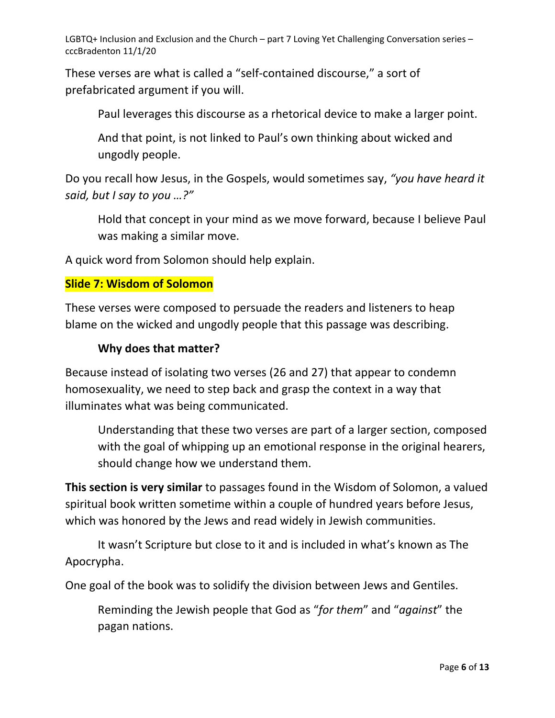These verses are what is called a "self-contained discourse," a sort of prefabricated argument if you will.

Paul leverages this discourse as a rhetorical device to make a larger point.

And that point, is not linked to Paul's own thinking about wicked and ungodly people.

Do you recall how Jesus, in the Gospels, would sometimes say, *"you have heard it said, but I say to you …?"*

Hold that concept in your mind as we move forward, because I believe Paul was making a similar move.

A quick word from Solomon should help explain.

#### **Slide 7: Wisdom of Solomon**

These verses were composed to persuade the readers and listeners to heap blame on the wicked and ungodly people that this passage was describing.

### **Why does that matter?**

Because instead of isolating two verses (26 and 27) that appear to condemn homosexuality, we need to step back and grasp the context in a way that illuminates what was being communicated.

Understanding that these two verses are part of a larger section, composed with the goal of whipping up an emotional response in the original hearers, should change how we understand them.

**This section is very similar** to passages found in the Wisdom of Solomon, a valued spiritual book written sometime within a couple of hundred years before Jesus, which was honored by the Jews and read widely in Jewish communities.

It wasn't Scripture but close to it and is included in what's known as The Apocrypha.

One goal of the book was to solidify the division between Jews and Gentiles.

Reminding the Jewish people that God as "*for them*" and "*against*" the pagan nations.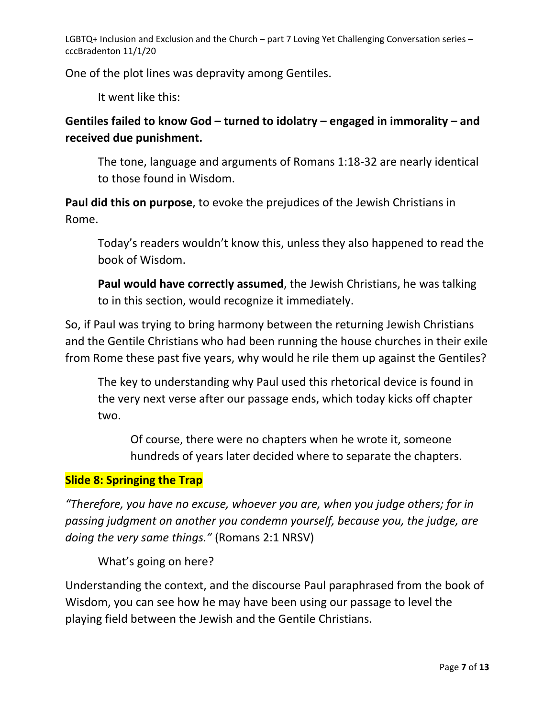One of the plot lines was depravity among Gentiles.

It went like this:

# **Gentiles failed to know God – turned to idolatry – engaged in immorality – and received due punishment.**

The tone, language and arguments of Romans 1:18-32 are nearly identical to those found in Wisdom.

**Paul did this on purpose**, to evoke the prejudices of the Jewish Christians in Rome.

Today's readers wouldn't know this, unless they also happened to read the book of Wisdom.

**Paul would have correctly assumed**, the Jewish Christians, he was talking to in this section, would recognize it immediately.

So, if Paul was trying to bring harmony between the returning Jewish Christians and the Gentile Christians who had been running the house churches in their exile from Rome these past five years, why would he rile them up against the Gentiles?

The key to understanding why Paul used this rhetorical device is found in the very next verse after our passage ends, which today kicks off chapter two.

Of course, there were no chapters when he wrote it, someone hundreds of years later decided where to separate the chapters.

# **Slide 8: Springing the Trap**

*"Therefore, you have no excuse, whoever you are, when you judge others; for in passing judgment on another you condemn yourself, because you, the judge, are doing the very same things."* (Romans 2:1 NRSV)

What's going on here?

Understanding the context, and the discourse Paul paraphrased from the book of Wisdom, you can see how he may have been using our passage to level the playing field between the Jewish and the Gentile Christians.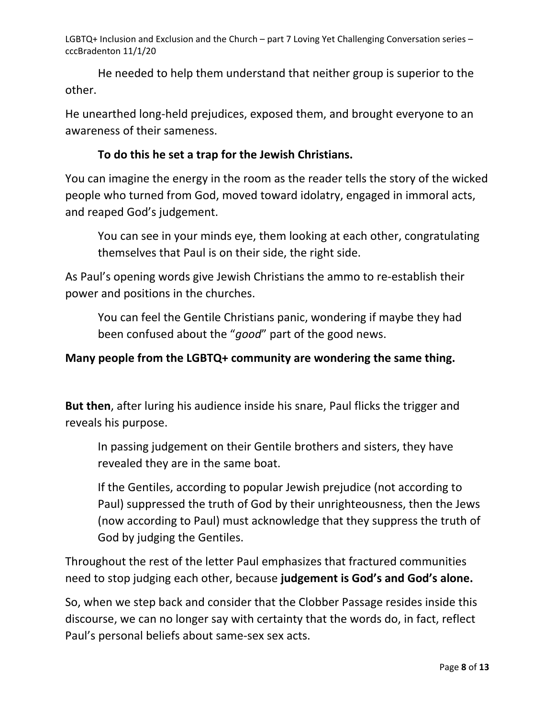He needed to help them understand that neither group is superior to the other.

He unearthed long-held prejudices, exposed them, and brought everyone to an awareness of their sameness.

# **To do this he set a trap for the Jewish Christians.**

You can imagine the energy in the room as the reader tells the story of the wicked people who turned from God, moved toward idolatry, engaged in immoral acts, and reaped God's judgement.

You can see in your minds eye, them looking at each other, congratulating themselves that Paul is on their side, the right side.

As Paul's opening words give Jewish Christians the ammo to re-establish their power and positions in the churches.

You can feel the Gentile Christians panic, wondering if maybe they had been confused about the "*good*" part of the good news.

# **Many people from the LGBTQ+ community are wondering the same thing.**

**But then**, after luring his audience inside his snare, Paul flicks the trigger and reveals his purpose.

In passing judgement on their Gentile brothers and sisters, they have revealed they are in the same boat.

If the Gentiles, according to popular Jewish prejudice (not according to Paul) suppressed the truth of God by their unrighteousness, then the Jews (now according to Paul) must acknowledge that they suppress the truth of God by judging the Gentiles.

Throughout the rest of the letter Paul emphasizes that fractured communities need to stop judging each other, because **judgement is God's and God's alone.**

So, when we step back and consider that the Clobber Passage resides inside this discourse, we can no longer say with certainty that the words do, in fact, reflect Paul's personal beliefs about same-sex sex acts.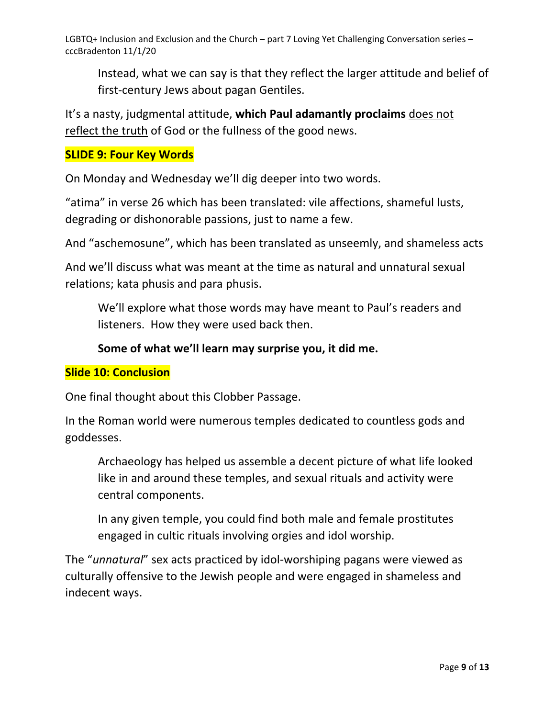Instead, what we can say is that they reflect the larger attitude and belief of first-century Jews about pagan Gentiles.

It's a nasty, judgmental attitude, **which Paul adamantly proclaims** does not reflect the truth of God or the fullness of the good news.

### **SLIDE 9: Four Key Words**

On Monday and Wednesday we'll dig deeper into two words.

"atima" in verse 26 which has been translated: vile affections, shameful lusts, degrading or dishonorable passions, just to name a few.

And "aschemosune", which has been translated as unseemly, and shameless acts

And we'll discuss what was meant at the time as natural and unnatural sexual relations; kata phusis and para phusis.

We'll explore what those words may have meant to Paul's readers and listeners. How they were used back then.

### **Some of what we'll learn may surprise you, it did me.**

#### **Slide 10: Conclusion**

One final thought about this Clobber Passage.

In the Roman world were numerous temples dedicated to countless gods and goddesses.

Archaeology has helped us assemble a decent picture of what life looked like in and around these temples, and sexual rituals and activity were central components.

In any given temple, you could find both male and female prostitutes engaged in cultic rituals involving orgies and idol worship.

The "*unnatural*" sex acts practiced by idol-worshiping pagans were viewed as culturally offensive to the Jewish people and were engaged in shameless and indecent ways.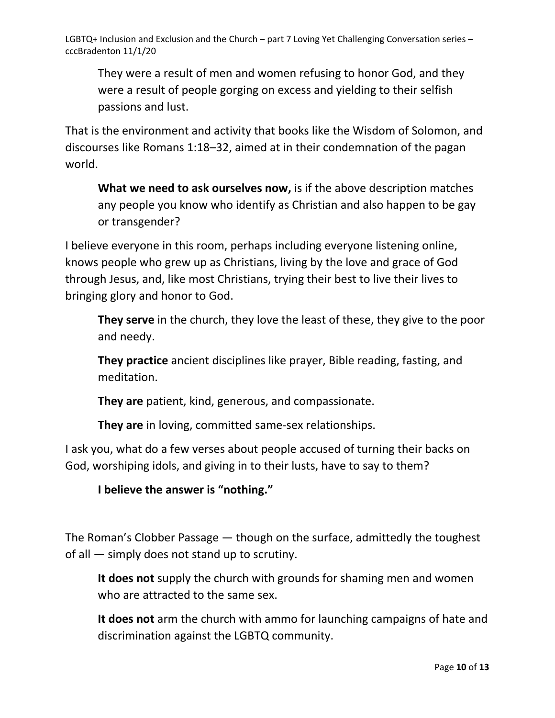They were a result of men and women refusing to honor God, and they were a result of people gorging on excess and yielding to their selfish passions and lust.

That is the environment and activity that books like the Wisdom of Solomon, and discourses like Romans 1:18–32, aimed at in their condemnation of the pagan world.

**What we need to ask ourselves now,** is if the above description matches any people you know who identify as Christian and also happen to be gay or transgender?

I believe everyone in this room, perhaps including everyone listening online, knows people who grew up as Christians, living by the love and grace of God through Jesus, and, like most Christians, trying their best to live their lives to bringing glory and honor to God.

**They serve** in the church, they love the least of these, they give to the poor and needy.

**They practice** ancient disciplines like prayer, Bible reading, fasting, and meditation.

**They are** patient, kind, generous, and compassionate.

**They are** in loving, committed same-sex relationships.

I ask you, what do a few verses about people accused of turning their backs on God, worshiping idols, and giving in to their lusts, have to say to them?

**I believe the answer is "nothing."** 

The Roman's Clobber Passage — though on the surface, admittedly the toughest of all — simply does not stand up to scrutiny.

**It does not** supply the church with grounds for shaming men and women who are attracted to the same sex.

**It does not** arm the church with ammo for launching campaigns of hate and discrimination against the LGBTQ community.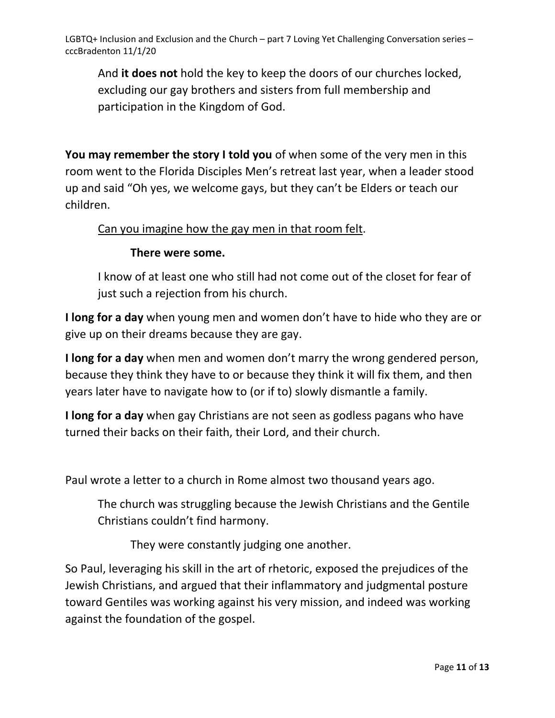And **it does not** hold the key to keep the doors of our churches locked, excluding our gay brothers and sisters from full membership and participation in the Kingdom of God.

**You may remember the story I told you** of when some of the very men in this room went to the Florida Disciples Men's retreat last year, when a leader stood up and said "Oh yes, we welcome gays, but they can't be Elders or teach our children.

# Can you imagine how the gay men in that room felt.

# **There were some.**

I know of at least one who still had not come out of the closet for fear of just such a rejection from his church.

**I long for a day** when young men and women don't have to hide who they are or give up on their dreams because they are gay.

**I long for a day** when men and women don't marry the wrong gendered person, because they think they have to or because they think it will fix them, and then years later have to navigate how to (or if to) slowly dismantle a family.

**I long for a day** when gay Christians are not seen as godless pagans who have turned their backs on their faith, their Lord, and their church.

Paul wrote a letter to a church in Rome almost two thousand years ago.

The church was struggling because the Jewish Christians and the Gentile Christians couldn't find harmony.

They were constantly judging one another.

So Paul, leveraging his skill in the art of rhetoric, exposed the prejudices of the Jewish Christians, and argued that their inflammatory and judgmental posture toward Gentiles was working against his very mission, and indeed was working against the foundation of the gospel.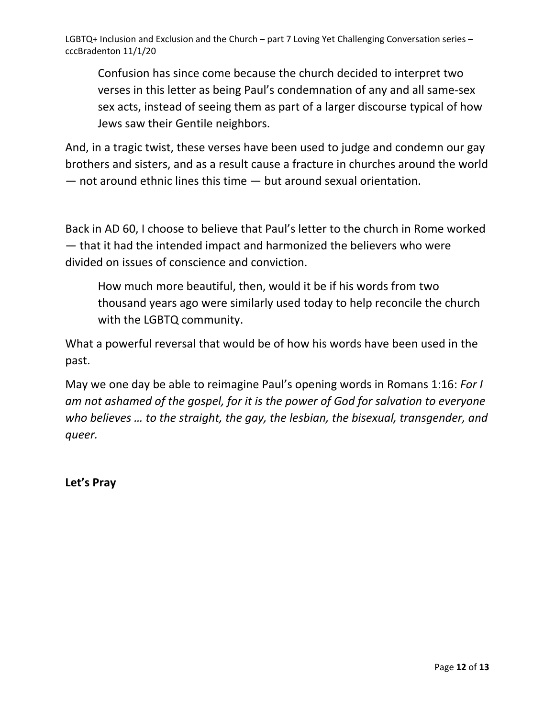Confusion has since come because the church decided to interpret two verses in this letter as being Paul's condemnation of any and all same-sex sex acts, instead of seeing them as part of a larger discourse typical of how Jews saw their Gentile neighbors.

And, in a tragic twist, these verses have been used to judge and condemn our gay brothers and sisters, and as a result cause a fracture in churches around the world — not around ethnic lines this time — but around sexual orientation.

Back in AD 60, I choose to believe that Paul's letter to the church in Rome worked — that it had the intended impact and harmonized the believers who were divided on issues of conscience and conviction.

How much more beautiful, then, would it be if his words from two thousand years ago were similarly used today to help reconcile the church with the LGBTQ community.

What a powerful reversal that would be of how his words have been used in the past.

May we one day be able to reimagine Paul's opening words in Romans 1:16: *For I am not ashamed of the gospel, for it is the power of God for salvation to everyone who believes … to the straight, the gay, the lesbian, the bisexual, transgender, and queer.*

**Let's Pray**